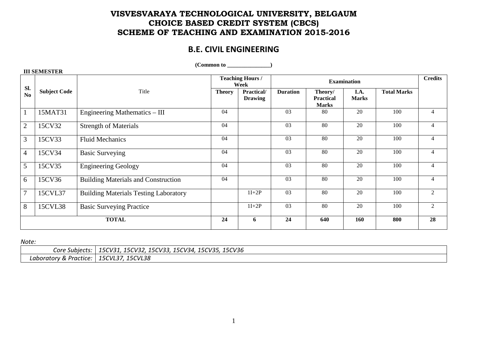## **VISVESVARAYA TECHNOLOGICAL UNIVERSITY, BELGAUM CHOICE BASED CREDIT SYSTEM (CBCS) SCHEME OF TEACHING AND EXAMINATION 2015-2016**

# **B.E. CIVIL ENGINEERING**

| III SEMESTEK   |                     |                                              |                                 |                              |                 |                                             |                      |                    |                |
|----------------|---------------------|----------------------------------------------|---------------------------------|------------------------------|-----------------|---------------------------------------------|----------------------|--------------------|----------------|
| Sl.            |                     |                                              | <b>Teaching Hours /</b><br>Week |                              |                 | <b>Credits</b>                              |                      |                    |                |
| No             | <b>Subject Code</b> | Title                                        | <b>Theory</b>                   | Practical/<br><b>Drawing</b> | <b>Duration</b> | Theory/<br><b>Practical</b><br><b>Marks</b> | I.A.<br><b>Marks</b> | <b>Total Marks</b> |                |
|                | 15MAT31             | Engineering Mathematics - III                | 04                              |                              | 03              | 80                                          | 20                   | 100                | 4              |
| $\overline{2}$ | 15CV32              | <b>Strength of Materials</b>                 | 04                              |                              | 03              | 80                                          | 20                   | 100                | 4              |
| 3              | 15CV33              | <b>Fluid Mechanics</b>                       | 04                              |                              | 03              | 80                                          | 20                   | 100                | $\overline{4}$ |
| $\overline{4}$ | 15CV34              | <b>Basic Surveying</b>                       | 04                              |                              | 03              | 80                                          | 20                   | 100                | $\overline{4}$ |
| 5              | 15CV35              | <b>Engineering Geology</b>                   | 04                              |                              | 03              | 80                                          | 20                   | 100                | $\overline{4}$ |
| 6              | 15CV36              | <b>Building Materials and Construction</b>   | 04                              |                              | 03              | 80                                          | 20                   | 100                |                |
| $\overline{7}$ | 15CVL37             | <b>Building Materials Testing Laboratory</b> |                                 | $1I+2P$                      | 03              | 80                                          | 20                   | 100                | $\overline{2}$ |
| 8              | 15CVL38             | <b>Basic Surveying Practice</b>              |                                 | $1I+2P$                      | 03              | 80                                          | 20                   | 100                | 2              |
|                |                     | <b>TOTAL</b>                                 | 24                              | 6                            | 24              | 640                                         | 160                  | 800                | 28             |

 $(Common to$   $)$ 

*Note:* 

 **III SEMESTER** 

| Core Subjects:         | 15CV36<br>15CV31<br>, 15CV33, 15CV34,<br>15CV32,<br>. 15CV35, |
|------------------------|---------------------------------------------------------------|
| Laboratory & Practice: | 15CVL38<br>5CVL<br>- - -                                      |